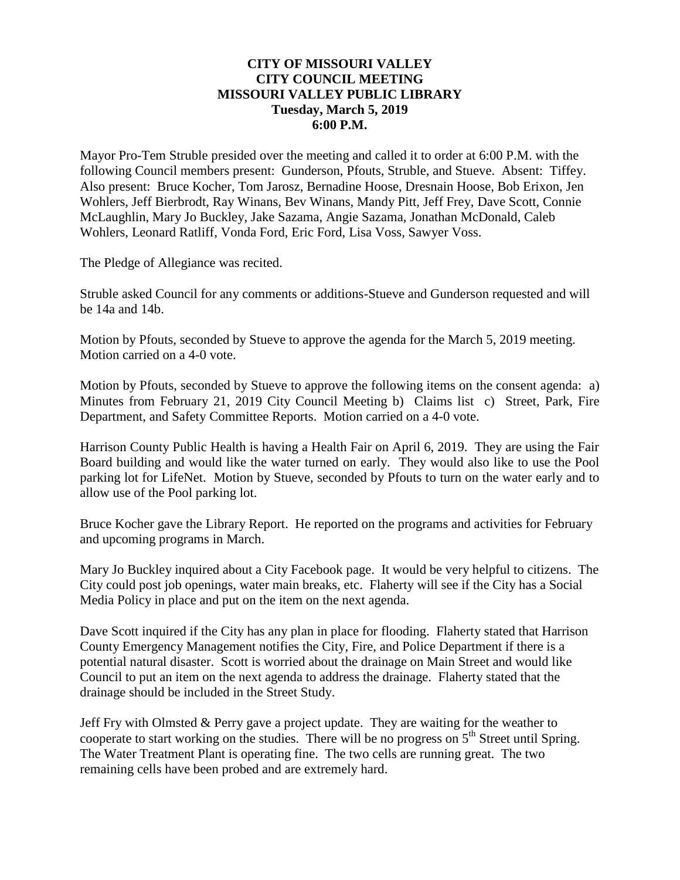## **CITY OF MISSOURI VALLEY CITY COUNCIL MEETING MISSOURI VALLEY PUBLIC LIBRARY Tuesday, March 5, 2019 6:00 P.M.**

Mayor Pro-Tem Struble presided over the meeting and called it to order at 6:00 P.M. with the following Council members present: Gunderson, Pfouts, Struble, and Stueve. Absent: Tiffey. Also present: Bruce Kocher, Tom Jarosz, Bernadine Hoose, Dresnain Hoose, Bob Erixon, Jen Wohlers, Jeff Bierbrodt, Ray Winans, Bev Winans, Mandy Pitt, Jeff Frey, Dave Scott, Connie McLaughlin, Mary Jo Buckley, Jake Sazama, Angie Sazama, Jonathan McDonald, Caleb Wohlers, Leonard Ratliff, Vonda Ford, Eric Ford, Lisa Voss, Sawyer Voss.

The Pledge of Allegiance was recited.

Struble asked Council for any comments or additions-Stueve and Gunderson requested and will be 14a and 14b.

Motion by Pfouts, seconded by Stueve to approve the agenda for the March 5, 2019 meeting. Motion carried on a 4-0 vote.

Motion by Pfouts, seconded by Stueve to approve the following items on the consent agenda: a) Minutes from February 21, 2019 City Council Meeting b) Claims list c) Street, Park, Fire Department, and Safety Committee Reports. Motion carried on a 4-0 vote.

Harrison County Public Health is having a Health Fair on April 6, 2019. They are using the Fair Board building and would like the water turned on early. They would also like to use the Pool parking lot for LifeNet. Motion by Stueve, seconded by Pfouts to turn on the water early and to allow use of the Pool parking lot.

Bruce Kocher gave the Library Report. He reported on the programs and activities for February and upcoming programs in March.

Mary Jo Buckley inquired about a City Facebook page. It would be very helpful to citizens. The City could post job openings, water main breaks, etc. Flaherty will see if the City has a Social Media Policy in place and put on the item on the next agenda.

Dave Scott inquired if the City has any plan in place for flooding. Flaherty stated that Harrison County Emergency Management notifies the City, Fire, and Police Department if there is a potential natural disaster. Scott is worried about the drainage on Main Street and would like Council to put an item on the next agenda to address the drainage. Flaherty stated that the drainage should be included in the Street Study.

Jeff Fry with Olmsted & Perry gave a project update. They are waiting for the weather to cooperate to start working on the studies. There will be no progress on  $5<sup>th</sup>$  Street until Spring. The Water Treatment Plant is operating fine. The two cells are running great. The two remaining cells have been probed and are extremely hard.